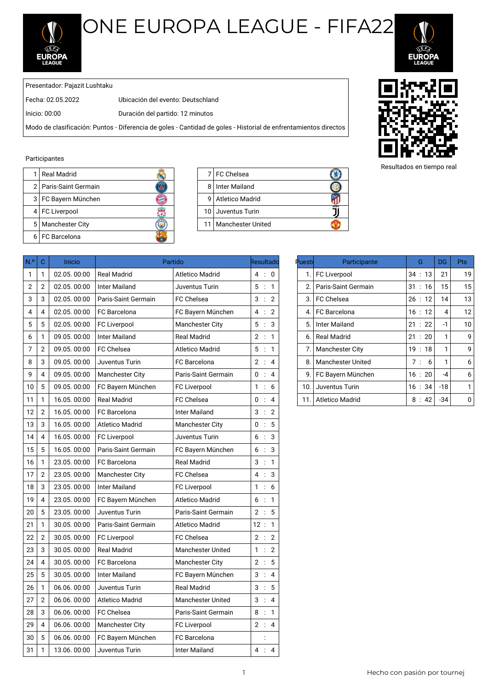

## ONE EUROPA LEAGUE - FIFA22



Presentador: Pajazit Lushtaku

Fecha: 02.05.2022 Ubicación del evento: Deutschland

Inicio: 00:00 Duración del partido: 12 minutos

Modo de clasificación: Puntos - Diferencia de goles - Cantidad de goles - Historial de enfrentamientos directos

## Participantes

| Real Madrid             |   | 7 FC Chelsea           |
|-------------------------|---|------------------------|
| 2   Paris-Saint Germain | 8 | Inter Mailand          |
| 3   FC Bayern München   | q | <b>Atletico Madrid</b> |
| 4   FC Liverpool        |   | 10 Juventus Turin      |
| 5   Manchester City     |   | 11   Manchester United |
| 6 I FC Barcelona        |   |                        |

|    | 7 FC Chelsea           |  |
|----|------------------------|--|
|    | 8 Inter Mailand        |  |
| 9  | <b>Atletico Madrid</b> |  |
|    | 10 Juventus Turin      |  |
| 11 | Manchester United      |  |

| N <sup>o</sup> | $\mathbf C$    | Inicio      |                        | Partido                  | Resultadd | Puesto | Participante             | Ġ       | DG             | <b>Pts</b>   |
|----------------|----------------|-------------|------------------------|--------------------------|-----------|--------|--------------------------|---------|----------------|--------------|
| 1              | 1              | 02.05.00:00 | <b>Real Madrid</b>     | <b>Atletico Madrid</b>   | 4:0       | 1.     | <b>FC Liverpool</b>      | 34:13   | 21             | 19           |
| 2              | $\sqrt{2}$     | 02.05.00:00 | <b>Inter Mailand</b>   | Juventus Turin           | 5 : 1     | 2.     | Paris-Saint Germain      | 31 : 16 | 15             | 15           |
| 3              | 3              | 02.05.00:00 | Paris-Saint Germain    | <b>FC Chelsea</b>        | 3:2       | 3.     | <b>FC Chelsea</b>        | 26:12   | 14             | 13           |
| 4              | 4              | 02.05.00:00 | FC Barcelona           | FC Bayern München        | 4 : 2     | 4.     | FC Barcelona             | 16:12   | $\overline{4}$ | 12           |
| 5              | 5              | 02.05.00:00 | <b>FC Liverpool</b>    | <b>Manchester City</b>   | 5:3       | 5.     | <b>Inter Mailand</b>     | 21 : 22 | $-1$           | 10           |
| 6              | 1              | 09.05.00:00 | <b>Inter Mailand</b>   | <b>Real Madrid</b>       | 2 : 1     | 6.     | <b>Real Madrid</b>       | 21 : 20 | $\mathbf{1}$   | ç            |
| 7              | $\overline{2}$ | 09.05.00:00 | <b>FC Chelsea</b>      | <b>Atletico Madrid</b>   | 5 : 1     | 7.     | Manchester City          | 19:18   | $\mathbf{1}$   | ç            |
| 8              | 3              | 09.05.00:00 | Juventus Turin         | <b>FC</b> Barcelona      | 2 : 4     | 8.     | <b>Manchester United</b> | 7:6     | $\mathbf{1}$   | б            |
| 9              | 4              | 09.05.00:00 | <b>Manchester City</b> | Paris-Saint Germain      | 0 : 4     | 9.     | FC Bayern München        | 16:20   | $-4$           | $\epsilon$   |
| 10             | 5              | 09.05.00:00 | FC Bayern München      | <b>FC Liverpool</b>      | 1:6       | 10.    | Juventus Turin           | 16:34   | $-18$          | 1            |
| 11             | 1              | 16.05.00:00 | <b>Real Madrid</b>     | FC Chelsea               | 0 : 4     | 11.    | <b>Atletico Madrid</b>   | 8:42    | $-34$          | $\mathsf{C}$ |
| 12             | $\overline{2}$ | 16.05.00:00 | FC Barcelona           | <b>Inter Mailand</b>     | 3 : 2     |        |                          |         |                |              |
| 13             | 3              | 16.05.00:00 | <b>Atletico Madrid</b> | Manchester City          | 0:5       |        |                          |         |                |              |
| 14             | 4              | 16.05.00:00 | <b>FC Liverpool</b>    | Juventus Turin           | 6:3       |        |                          |         |                |              |
| 15             | 5              | 16.05.00:00 | Paris-Saint Germain    | FC Bayern München        | 6:3       |        |                          |         |                |              |
| 16             | 1              | 23.05.00:00 | FC Barcelona           | <b>Real Madrid</b>       | 3 : 1     |        |                          |         |                |              |
| 17             | $\overline{2}$ | 23.05.00:00 | Manchester City        | FC Chelsea               | 4 : 3     |        |                          |         |                |              |
| 18             | 3              | 23.05.00:00 | <b>Inter Mailand</b>   | <b>FC Liverpool</b>      | 1:6       |        |                          |         |                |              |
| 19             | 4              | 23.05.00:00 | FC Bayern München      | <b>Atletico Madrid</b>   | 6:1       |        |                          |         |                |              |
| $20\,$         | 5              | 23.05.00:00 | Juventus Turin         | Paris-Saint Germain      | 2 : 5     |        |                          |         |                |              |
| 21             | 1              | 30.05.00:00 | Paris-Saint Germain    | <b>Atletico Madrid</b>   | 12:1      |        |                          |         |                |              |
| 22             | $\overline{2}$ | 30.05.00:00 | <b>FC Liverpool</b>    | FC Chelsea               | 2 : 2     |        |                          |         |                |              |
| 23             | 3              | 30.05.00:00 | <b>Real Madrid</b>     | <b>Manchester United</b> | 1 : 2     |        |                          |         |                |              |
| 24             | 4              | 30.05.00:00 | FC Barcelona           | <b>Manchester City</b>   | 2 : 5     |        |                          |         |                |              |
| 25             | 5              | 30.05.00:00 | <b>Inter Mailand</b>   | FC Bayern München        | 3:4       |        |                          |         |                |              |
| 26             | 1              | 06.06.00:00 | Juventus Turin         | <b>Real Madrid</b>       | 3:5       |        |                          |         |                |              |
| 27             | $\overline{2}$ | 06.06.00:00 | <b>Atletico Madrid</b> | <b>Manchester United</b> | 3:4       |        |                          |         |                |              |
| 28             | 3              | 06.06.00:00 | FC Chelsea             | Paris-Saint Germain      | 8:1       |        |                          |         |                |              |
| 29             | 4              | 06.06.00:00 | <b>Manchester City</b> | <b>FC Liverpool</b>      | 2 : 4     |        |                          |         |                |              |
| 30             | 5              | 06.06.00:00 | FC Bayern München      | FC Barcelona             |           |        |                          |         |                |              |
| 31             | 1              | 13.06.00:00 | Juventus Turin         | <b>Inter Mailand</b>     | 4 : 4     |        |                          |         |                |              |

| uestd <sup>,</sup> | Participante             | G       | DG    | <b>Pts</b>        |
|--------------------|--------------------------|---------|-------|-------------------|
| 1.                 | <b>FC Liverpool</b>      | 34 : 13 | 21    | 19                |
| 2.                 | Paris-Saint Germain      | 31 : 16 | 15    | 15                |
| 3.                 | <b>FC Chelsea</b>        | 26:12   | 14    | 13                |
| 4.                 | FC Barcelona             | 16:12   | 4     | $12 \overline{ }$ |
| 5.                 | Inter Mailand            | 21:22   | $-1$  | 10                |
| 6.                 | <b>Real Madrid</b>       | 21:20   | 1     | 9                 |
| 7.                 | <b>Manchester City</b>   | 19:18   | 1     | 9                 |
| 8.                 | <b>Manchester United</b> | 7:<br>6 | 1     | 6                 |
| 9.                 | FC Bayern München        | 16:20   | -4    | 6                 |
| 10.                | Juventus Turin           | 16:34   | $-18$ | 1                 |
| 11.                | <b>Atletico Madrid</b>   | 8:42    | $-34$ | U                 |



Resultados en tiempo real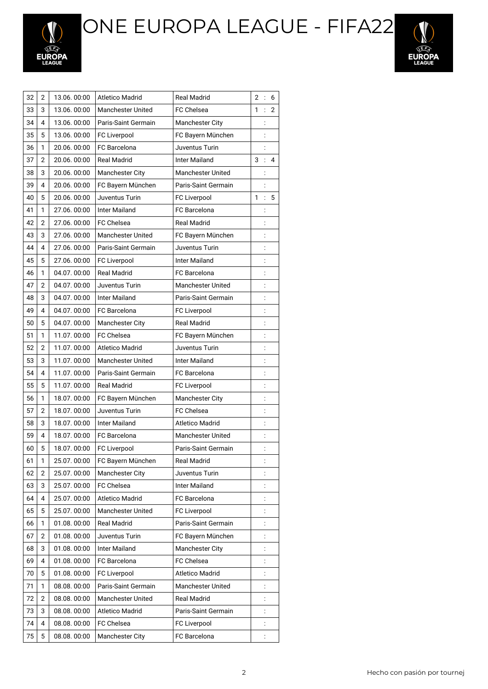ONE EUROPA LEAGUE - FIFA22





| 32 | 2 | 13.06.00:00 | <b>Atletico Madrid</b>   | <b>Real Madrid</b>       | $\overline{2}$ | $\vdots$       | 6              |
|----|---|-------------|--------------------------|--------------------------|----------------|----------------|----------------|
| 33 | 3 | 13.06.00:00 | <b>Manchester United</b> | <b>FC Chelsea</b>        | 1              | $\ddot{\cdot}$ | $\overline{2}$ |
| 34 | 4 | 13.06.00:00 | Paris-Saint Germain      | <b>Manchester City</b>   |                |                |                |
| 35 | 5 | 13.06.00:00 | <b>FC Liverpool</b>      | FC Bayern München        |                |                |                |
| 36 | 1 | 20.06.00:00 | FC Barcelona             | Juventus Turin           |                | $\vdots$       |                |
| 37 | 2 | 20.06.00:00 | <b>Real Madrid</b>       | Inter Mailand            | 3              |                | 4              |
| 38 | 3 | 20.06.00:00 | Manchester City          | <b>Manchester United</b> |                |                |                |
| 39 | 4 | 20.06.00:00 | FC Bayern München        | Paris-Saint Germain      |                |                |                |
| 40 | 5 | 20.06.00:00 | Juventus Turin           | FC Liverpool             | 1              | $\vdots$       | 5              |
| 41 | 1 | 27.06.00:00 | <b>Inter Mailand</b>     | FC Barcelona             |                | $\vdots$       |                |
| 42 | 2 | 27.06.00:00 | FC Chelsea               | <b>Real Madrid</b>       |                |                |                |
| 43 | 3 | 27.06.00:00 | <b>Manchester United</b> | FC Bayern München        |                | $\vdots$       |                |
| 44 | 4 | 27.06.00:00 | Paris-Saint Germain      | Juventus Turin           |                |                |                |
| 45 | 5 | 27.06.00:00 | FC Liverpool             | <b>Inter Mailand</b>     |                | $\vdots$       |                |
| 46 | 1 | 04.07.00:00 | <b>Real Madrid</b>       | FC Barcelona             |                | $\vdots$       |                |
| 47 | 2 | 04.07.00:00 | Juventus Turin           | <b>Manchester United</b> |                | $\vdots$       |                |
| 48 | 3 | 04.07.00:00 | <b>Inter Mailand</b>     | Paris-Saint Germain      |                | $\vdots$       |                |
| 49 | 4 | 04.07.00:00 | FC Barcelona             | FC Liverpool             |                |                |                |
| 50 | 5 | 04.07.00:00 | <b>Manchester City</b>   | <b>Real Madrid</b>       |                | $\vdots$       |                |
| 51 | 1 | 11.07.00:00 | FC Chelsea               | FC Bayern München        |                | $\vdots$       |                |
| 52 | 2 | 11.07.00:00 | <b>Atletico Madrid</b>   | Juventus Turin           |                | $\vdots$       |                |
| 53 | 3 | 11.07.00:00 | <b>Manchester United</b> | <b>Inter Mailand</b>     |                | $\vdots$       |                |
| 54 | 4 | 11.07.00:00 | Paris-Saint Germain      | FC Barcelona             |                | $\ddot{\cdot}$ |                |
| 55 | 5 | 11.07.00:00 | <b>Real Madrid</b>       | FC Liverpool             |                | $\vdots$       |                |
| 56 | 1 | 18.07.00:00 | FC Bayern München        | <b>Manchester City</b>   |                | $\vdots$       |                |
| 57 | 2 | 18.07.00:00 | Juventus Turin           | FC Chelsea               |                | $\vdots$       |                |
| 58 | 3 | 18.07.00:00 | <b>Inter Mailand</b>     | Atletico Madrid          |                | $\vdots$       |                |
| 59 | 4 | 18.07.00:00 | <b>FC</b> Barcelona      | Manchester United        |                | $\vdots$       |                |
| 60 | 5 | 18.07.00:00 | FC Liverpool             | Paris-Saint Germain      |                | $\vdots$       |                |
| 61 | 1 | 25.07.00:00 | FC Bayern München        | Real Madrid              |                | $\ddot{\cdot}$ |                |
| 62 | 2 | 25.07.00:00 | <b>Manchester City</b>   | Juventus Turin           |                |                |                |
| 63 | 3 | 25.07.00:00 | FC Chelsea               | <b>Inter Mailand</b>     |                |                |                |
| 64 | 4 | 25.07.00:00 | <b>Atletico Madrid</b>   | FC Barcelona             |                |                |                |
| 65 | 5 | 25.07.00:00 | <b>Manchester United</b> | FC Liverpool             |                |                |                |
| 66 | 1 | 01.08.00:00 | <b>Real Madrid</b>       | Paris-Saint Germain      |                | $\vdots$       |                |
| 67 | 2 | 01.08.00:00 | Juventus Turin           | FC Bayern München        |                | $\vdots$       |                |
| 68 | 3 | 01.08.00:00 | <b>Inter Mailand</b>     | <b>Manchester City</b>   |                |                |                |
| 69 | 4 | 01.08.00:00 | FC Barcelona             | FC Chelsea               |                |                |                |
| 70 | 5 | 01.08.00:00 | FC Liverpool             | <b>Atletico Madrid</b>   |                | $\vdots$       |                |
| 71 | 1 | 08.08.00:00 | Paris-Saint Germain      | Manchester United        |                | $\vdots$       |                |
| 72 | 2 | 08.08.00:00 | <b>Manchester United</b> | <b>Real Madrid</b>       |                | $\vdots$       |                |
| 73 | 3 | 08.08.00:00 | Atletico Madrid          | Paris-Saint Germain      |                |                |                |
| 74 | 4 | 08.08.00:00 | FC Chelsea               | FC Liverpool             |                | $\ddot{\cdot}$ |                |
| 75 | 5 | 08.08.00:00 | Manchester City          | FC Barcelona             |                | $\ddot{\cdot}$ |                |